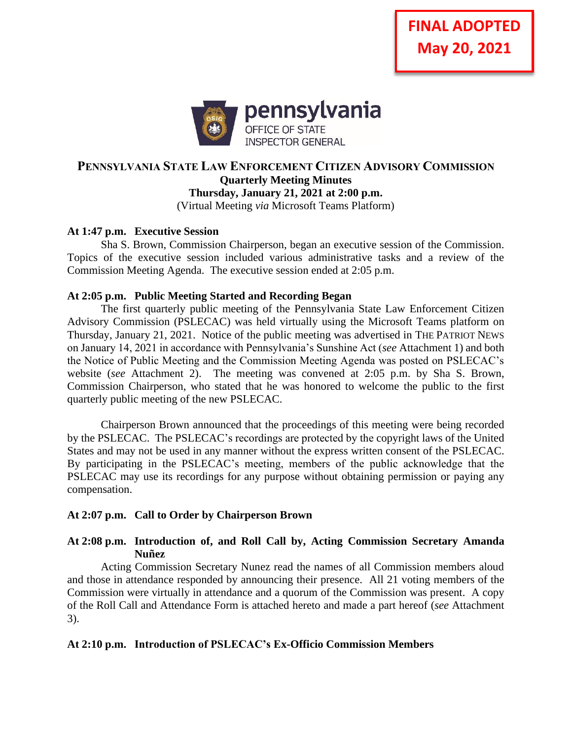

# **PENNSYLVANIA STATE LAW ENFORCEMENT CITIZEN ADVISORY COMMISSION Quarterly Meeting Minutes Thursday, January 21, 2021 at 2:00 p.m.**

(Virtual Meeting *via* Microsoft Teams Platform)

#### **At 1:47 p.m. Executive Session**

Sha S. Brown, Commission Chairperson, began an executive session of the Commission. Topics of the executive session included various administrative tasks and a review of the Commission Meeting Agenda. The executive session ended at 2:05 p.m.

#### **At 2:05 p.m. Public Meeting Started and Recording Began**

The first quarterly public meeting of the Pennsylvania State Law Enforcement Citizen Advisory Commission (PSLECAC) was held virtually using the Microsoft Teams platform on Thursday, January 21, 2021. Notice of the public meeting was advertised in THE PATRIOT NEWS on January 14, 2021 in accordance with Pennsylvania's Sunshine Act (*see* Attachment 1) and both the Notice of Public Meeting and the Commission Meeting Agenda was posted on PSLECAC's website (*see* Attachment 2). The meeting was convened at 2:05 p.m. by Sha S. Brown, Commission Chairperson, who stated that he was honored to welcome the public to the first quarterly public meeting of the new PSLECAC.

Chairperson Brown announced that the proceedings of this meeting were being recorded by the PSLECAC. The PSLECAC's recordings are protected by the copyright laws of the United States and may not be used in any manner without the express written consent of the PSLECAC. By participating in the PSLECAC's meeting, members of the public acknowledge that the PSLECAC may use its recordings for any purpose without obtaining permission or paying any compensation.

# **At 2:07 p.m. Call to Order by Chairperson Brown**

# **At 2:08 p.m. Introduction of, and Roll Call by, Acting Commission Secretary Amanda Nuñez**

Acting Commission Secretary Nunez read the names of all Commission members aloud and those in attendance responded by announcing their presence. All 21 voting members of the Commission were virtually in attendance and a quorum of the Commission was present. A copy of the Roll Call and Attendance Form is attached hereto and made a part hereof (*see* Attachment 3).

# **At 2:10 p.m. Introduction of PSLECAC's Ex-Officio Commission Members**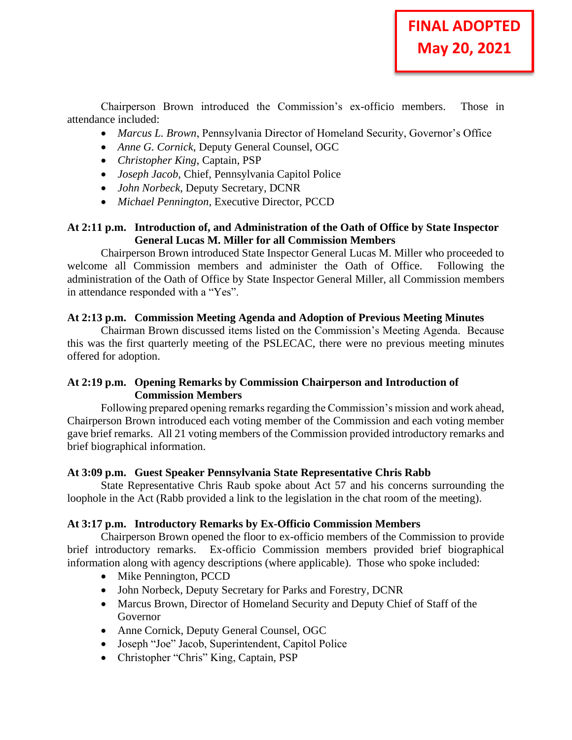Chairperson Brown introduced the Commission's ex-officio members. Those in attendance included:

- *Marcus L. Brown*, Pennsylvania Director of Homeland Security, Governor's Office
- *Anne G. Cornick*, Deputy General Counsel, OGC
- *Christopher King*, Captain, PSP
- *Joseph Jacob*, Chief, Pennsylvania Capitol Police
- *John Norbeck*, Deputy Secretary, DCNR
- *Michael Pennington*, Executive Director, PCCD

#### **At 2:11 p.m. Introduction of, and Administration of the Oath of Office by State Inspector General Lucas M. Miller for all Commission Members**

Chairperson Brown introduced State Inspector General Lucas M. Miller who proceeded to welcome all Commission members and administer the Oath of Office. Following the administration of the Oath of Office by State Inspector General Miller, all Commission members in attendance responded with a "Yes".

#### **At 2:13 p.m. Commission Meeting Agenda and Adoption of Previous Meeting Minutes**

Chairman Brown discussed items listed on the Commission's Meeting Agenda. Because this was the first quarterly meeting of the PSLECAC, there were no previous meeting minutes offered for adoption.

# **At 2:19 p.m. Opening Remarks by Commission Chairperson and Introduction of Commission Members**

Following prepared opening remarks regarding the Commission's mission and work ahead, Chairperson Brown introduced each voting member of the Commission and each voting member gave brief remarks. All 21 voting members of the Commission provided introductory remarks and brief biographical information.

# **At 3:09 p.m. Guest Speaker Pennsylvania State Representative Chris Rabb**

State Representative Chris Raub spoke about Act 57 and his concerns surrounding the loophole in the Act (Rabb provided a link to the legislation in the chat room of the meeting).

# **At 3:17 p.m. Introductory Remarks by Ex-Officio Commission Members**

Chairperson Brown opened the floor to ex-officio members of the Commission to provide brief introductory remarks. Ex-officio Commission members provided brief biographical information along with agency descriptions (where applicable). Those who spoke included:

- Mike Pennington, PCCD
- John Norbeck, Deputy Secretary for Parks and Forestry, DCNR
- Marcus Brown, Director of Homeland Security and Deputy Chief of Staff of the Governor
- Anne Cornick, Deputy General Counsel, OGC
- Joseph "Joe" Jacob, Superintendent, Capitol Police
- Christopher "Chris" King, Captain, PSP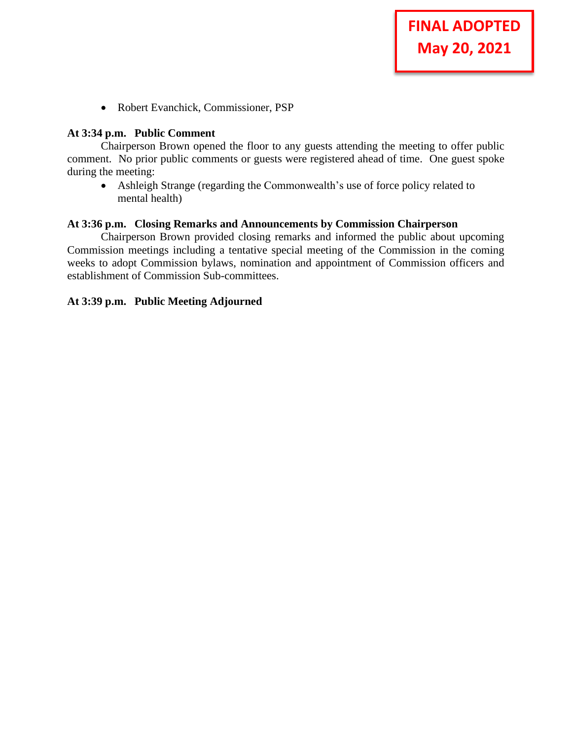• Robert Evanchick, Commissioner, PSP

#### **At 3:34 p.m. Public Comment**

Chairperson Brown opened the floor to any guests attending the meeting to offer public comment. No prior public comments or guests were registered ahead of time. One guest spoke during the meeting:

**FINAL ADOPTED** 

**May 20, 2021**

• Ashleigh Strange (regarding the Commonwealth's use of force policy related to mental health)

#### **At 3:36 p.m. Closing Remarks and Announcements by Commission Chairperson**

Chairperson Brown provided closing remarks and informed the public about upcoming Commission meetings including a tentative special meeting of the Commission in the coming weeks to adopt Commission bylaws, nomination and appointment of Commission officers and establishment of Commission Sub-committees.

#### **At 3:39 p.m. Public Meeting Adjourned**